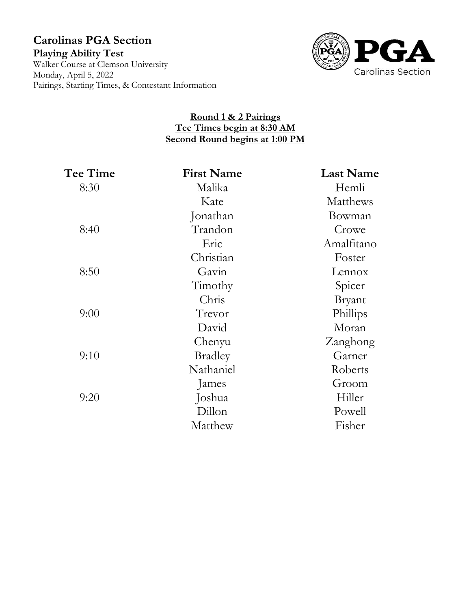# **Carolinas PGA Section Playing Ability Test** Walker Course at Clemson University Monday, April 5, 2022 Pairings, Starting Times, & Contestant Information



# **Round 1 & 2 Pairings Tee Times begin at 8:30 AM Second Round begins at 1:00 PM**

| Tee Time | <b>First Name</b> | <b>Last Name</b> |
|----------|-------------------|------------------|
| 8:30     | Malika            | Hemli            |
|          | Kate              | <b>Matthews</b>  |
|          | Jonathan          | Bowman           |
| 8:40     | Trandon           | Crowe            |
|          | Eric              | Amalfitano       |
|          | Christian         | Foster           |
| 8:50     | Gavin             | Lennox           |
|          | Timothy           | Spicer           |
|          | Chris             | <b>Bryant</b>    |
| 9:00     | Trevor            | Phillips         |
|          | David             | Moran            |
|          | Chenyu            | Zanghong         |
| 9:10     | <b>Bradley</b>    | Garner           |
|          | Nathaniel         | Roberts          |
|          | James             | Groom            |
| 9:20     | Joshua            | Hiller           |
|          | Dillon            | Powell           |
|          | Matthew           | Fisher           |
|          |                   |                  |